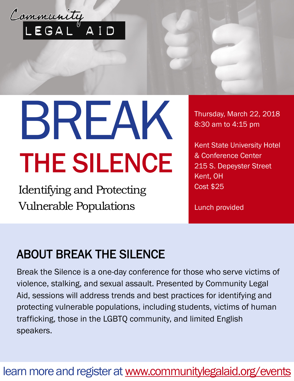

# BREAK THE SILENCE

Identifying and Protecting Vulnerable Populations

Thursday, March 22, 2018 8:30 am to 4:15 pm

Kent State University Hotel & Conference Center 215 S. Depeyster Street Kent, OH Cost \$25

Lunch provided

## ABOUT BREAK THE SILENCE

Break the Silence is a one-day conference for those who serve victims of violence, stalking, and sexual assault. Presented by Community Legal Aid, sessions will address trends and best practices for identifying and protecting vulnerable populations, including students, victims of human trafficking, those in the LGBTQ community, and limited English speakers.

#### learn more and register at [www.communitylegalaid.org/events](https://www.communitylegalaid.org/node/579/break-silence-identifying-and-protecting-vulnerable-populations)